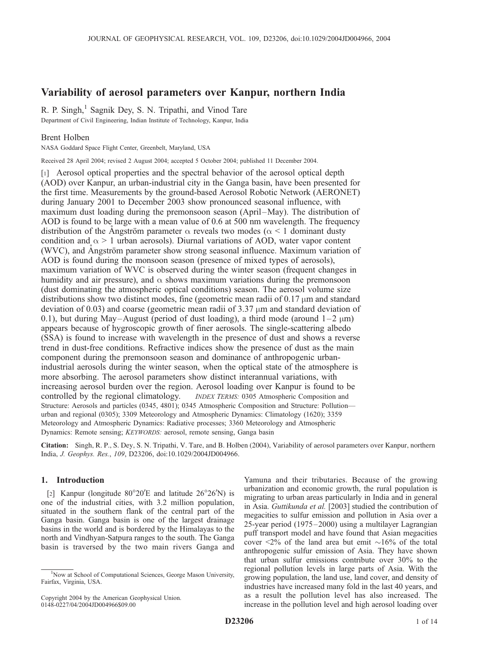# Variability of aerosol parameters over Kanpur, northern India

R. P. Singh, $<sup>1</sup>$  Sagnik Dey, S. N. Tripathi, and Vinod Tare</sup> Department of Civil Engineering, Indian Institute of Technology, Kanpur, India

# Brent Holben

NASA Goddard Space Flight Center, Greenbelt, Maryland, USA

Received 28 April 2004; revised 2 August 2004; accepted 5 October 2004; published 11 December 2004.

[1] Aerosol optical properties and the spectral behavior of the aerosol optical depth (AOD) over Kanpur, an urban-industrial city in the Ganga basin, have been presented for the first time. Measurements by the ground-based Aerosol Robotic Network (AERONET) during January 2001 to December 2003 show pronounced seasonal influence, with maximum dust loading during the premonsoon season (April–May). The distribution of AOD is found to be large with a mean value of 0.6 at 500 nm wavelength. The frequency distribution of the Angström parameter  $\alpha$  reveals two modes ( $\alpha$  < 1 dominant dusty condition and  $\alpha > 1$  urban aerosols). Diurnal variations of AOD, water vapor content (WVC), and Angström parameter show strong seasonal influence. Maximum variation of AOD is found during the monsoon season (presence of mixed types of aerosols), maximum variation of WVC is observed during the winter season (frequent changes in humidity and air pressure), and  $\alpha$  shows maximum variations during the premonsoon (dust dominating the atmospheric optical conditions) season. The aerosol volume size distributions show two distinct modes, fine (geometric mean radii of  $0.17 \mu m$  and standard deviation of 0.03) and coarse (geometric mean radii of  $3.37 \mu$ m and standard deviation of 0.1), but during May–August (period of dust loading), a third mode (around  $1-2 \mu m$ ) appears because of hygroscopic growth of finer aerosols. The single-scattering albedo (SSA) is found to increase with wavelength in the presence of dust and shows a reverse trend in dust-free conditions. Refractive indices show the presence of dust as the main component during the premonsoon season and dominance of anthropogenic urbanindustrial aerosols during the winter season, when the optical state of the atmosphere is more absorbing. The aerosol parameters show distinct interannual variations, with increasing aerosol burden over the region. Aerosol loading over Kanpur is found to be controlled by the regional climatology. *INDEX TERMS*: 0305 Atmospheric Composition and INDEX TERMS: 0305 Atmospheric Composition and Structure: Aerosols and particles (0345, 4801); 0345 Atmospheric Composition and Structure: Pollution urban and regional (0305); 3309 Meteorology and Atmospheric Dynamics: Climatology (1620); 3359 Meteorology and Atmospheric Dynamics: Radiative processes; 3360 Meteorology and Atmospheric Dynamics: Remote sensing; KEYWORDS: aerosol, remote sensing, Ganga basin

Citation: Singh, R. P., S. Dey, S. N. Tripathi, V. Tare, and B. Holben (2004), Variability of aerosol parameters over Kanpur, northern India, J. Geophys. Res., 109, D23206, doi:10.1029/2004JD004966.

### 1. Introduction

[2] Kanpur (longitude  $80^{\circ}20'E$  and latitude  $26^{\circ}26'N$ ) is one of the industrial cities, with 3.2 million population, situated in the southern flank of the central part of the Ganga basin. Ganga basin is one of the largest drainage basins in the world and is bordered by the Himalayas to the north and Vindhyan-Satpura ranges to the south. The Ganga basin is traversed by the two main rivers Ganga and

Yamuna and their tributaries. Because of the growing urbanization and economic growth, the rural population is migrating to urban areas particularly in India and in general in Asia. Guttikunda et al. [2003] studied the contribution of megacities to sulfur emission and pollution in Asia over a 25-year period (1975 –2000) using a multilayer Lagrangian puff transport model and have found that Asian megacities cover  $\leq 2\%$  of the land area but emit  $\sim 16\%$  of the total anthropogenic sulfur emission of Asia. They have shown that urban sulfur emissions contribute over 30% to the regional pollution levels in large parts of Asia. With the growing population, the land use, land cover, and density of industries have increased many fold in the last 40 years, and as a result the pollution level has also increased. The increase in the pollution level and high aerosol loading over

<sup>&</sup>lt;sup>1</sup>Now at School of Computational Sciences, George Mason University, Fairfax, Virginia, USA.

Copyright 2004 by the American Geophysical Union. 0148-0227/04/2004JD004966\$09.00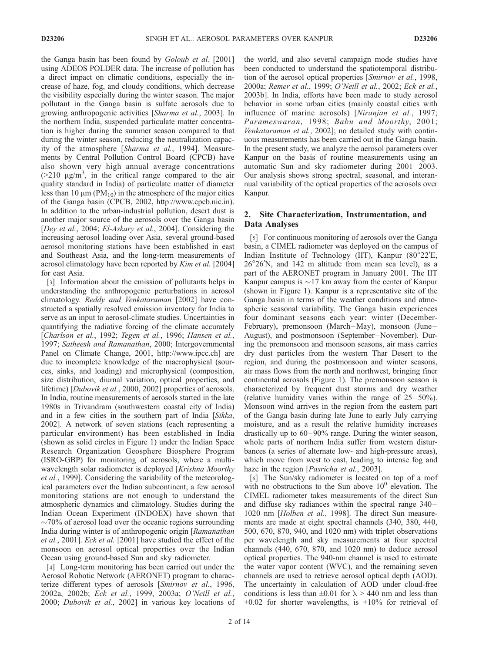the Ganga basin has been found by Goloub et al. [2001] using ADEOS POLDER data. The increase of pollution has a direct impact on climatic conditions, especially the increase of haze, fog, and cloudy conditions, which decrease the visibility especially during the winter season. The major pollutant in the Ganga basin is sulfate aerosols due to growing anthropogenic activities [Sharma et al., 2003]. In the northern India, suspended particulate matter concentration is higher during the summer season compared to that during the winter season, reducing the neutralization capacity of the atmosphere [Sharma et al., 1994]. Measurements by Central Pollution Control Board (CPCB) have also shown very high annual average concentrations  $(>= 210 \text{ }\mu\text{g/m}^3, \text{ in the critical range compared to the air})$ quality standard in India) of particulate matter of diameter less than 10  $\mu$ m (PM<sub>10</sub>) in the atmosphere of the major cities of the Ganga basin (CPCB, 2002, http://www.cpcb.nic.in). In addition to the urban-industrial pollution, desert dust is another major source of the aerosols over the Ganga basin [Dey et al., 2004; El-Askary et al., 2004]. Considering the increasing aerosol loading over Asia, several ground-based aerosol monitoring stations have been established in east and Southeast Asia, and the long-term measurements of aerosol climatology have been reported by *Kim et al.* [2004] for east Asia.

[3] Information about the emission of pollutants helps in understanding the anthropogenic perturbations in aerosol climatology. Reddy and Venkataraman [2002] have constructed a spatially resolved emission inventory for India to serve as an input to aerosol-climate studies. Uncertainties in quantifying the radiative forcing of the climate accurately [Charlson et al., 1992; Tegen et al., 1996; Hansen et al., 1997; Satheesh and Ramanathan, 2000; Intergovernmental Panel on Climate Change, 2001, http://www.ipcc.ch] are due to incomplete knowledge of the macrophysical (sources, sinks, and loading) and microphysical (composition, size distribution, diurnal variation, optical properties, and lifetime) [*Dubovik et al.*, 2000, 2002] properties of aerosols. In India, routine measurements of aerosols started in the late 1980s in Trivandram (southwestern coastal city of India) and in a few cities in the southern part of India [Sikka, 2002]. A network of seven stations (each representing a particular environment) has been established in India (shown as solid circles in Figure 1) under the Indian Space Research Organization Geosphere Biosphere Program (ISRO-GBP) for monitoring of aerosols, where a multiwavelength solar radiometer is deployed [Krishna Moorthy] et al., 1999]. Considering the variability of the meteorological parameters over the Indian subcontinent, a few aerosol monitoring stations are not enough to understand the atmospheric dynamics and climatology. Studies during the Indian Ocean Experiment (INDOEX) have shown that  $\sim$ 70% of aerosol load over the oceanic regions surrounding India during winter is of anthropogenic origin [Ramanathan et al., 2001]. Eck et al. [2001] have studied the effect of the monsoon on aerosol optical properties over the Indian Ocean using ground-based Sun and sky radiometer.

[4] Long-term monitoring has been carried out under the Aerosol Robotic Network (AERONET) program to characterize different types of aerosols [Smirnov et al., 1996, 2002a, 2002b; Eck et al., 1999, 2003a; O'Neill et al., 2000; Dubovik et al., 2002] in various key locations of the world, and also several campaign mode studies have been conducted to understand the spatiotemporal distribution of the aerosol optical properties [Smirnov et al., 1998, 2000a; Remer et al., 1999; O'Neill et al., 2002; Eck et al., 2003b]. In India, efforts have been made to study aerosol behavior in some urban cities (mainly coastal cities with influence of marine aerosols) [Niranjan et al., 1997; Parameswaran, 1998; Babu and Moorthy, 2001; Venkataraman et al., 2002]; no detailed study with continuous measurements has been carried out in the Ganga basin. In the present study, we analyze the aerosol parameters over Kanpur on the basis of routine measurements using an automatic Sun and sky radiometer during  $2001 - 2003$ . Our analysis shows strong spectral, seasonal, and interannual variability of the optical properties of the aerosols over Kanpur.

# 2. Site Characterization, Instrumentation, and Data Analyses

[5] For continuous monitoring of aerosols over the Ganga basin, a CIMEL radiometer was deployed on the campus of Indian Institute of Technology (IIT), Kanpur  $(80^{\circ}22^{\prime})$ E, 26°26'N, and 142 m altitude from mean sea level), as a part of the AERONET program in January 2001. The IIT Kanpur campus is  $\sim$ 17 km away from the center of Kanpur (shown in Figure 1). Kanpur is a representative site of the Ganga basin in terms of the weather conditions and atmospheric seasonal variability. The Ganga basin experiences four dominant seasons each year: winter (December-February), premonsoon (March-May), monsoon (June-August), and postmonsoon (September-November). During the premonsoon and monsoon seasons, air mass carries dry dust particles from the western Thar Desert to the region, and during the postmonsoon and winter seasons, air mass flows from the north and northwest, bringing finer continental aerosols (Figure 1). The premonsoon season is characterized by frequent dust storms and dry weather (relative humidity varies within the range of  $25-50\%$ ). Monsoon wind arrives in the region from the eastern part of the Ganga basin during late June to early July carrying moisture, and as a result the relative humidity increases drastically up to  $60-90\%$  range. During the winter season, whole parts of northern India suffer from western disturbances (a series of alternate low- and high-pressure areas), which move from west to east, leading to intense fog and haze in the region [*Pasricha et al.*, 2003].

[6] The Sun/sky radiometer is located on top of a roof with no obstructions to the Sun above  $10<sup>0</sup>$  elevation. The CIMEL radiometer takes measurements of the direct Sun and diffuse sky radiances within the spectral range 340– 1020 nm [Holben et al., 1998]. The direct Sun measurements are made at eight spectral channels (340, 380, 440, 500, 670, 870, 940, and 1020 nm) with triplet observations per wavelength and sky measurements at four spectral channels (440, 670, 870, and 1020 nm) to deduce aerosol optical properties. The 940-nm channel is used to estimate the water vapor content (WVC), and the remaining seven channels are used to retrieve aerosol optical depth (AOD). The uncertainty in calculation of AOD under cloud-free conditions is less than  $\pm 0.01$  for  $\lambda > 440$  nm and less than  $\pm 0.02$  for shorter wavelengths, is  $\pm 10\%$  for retrieval of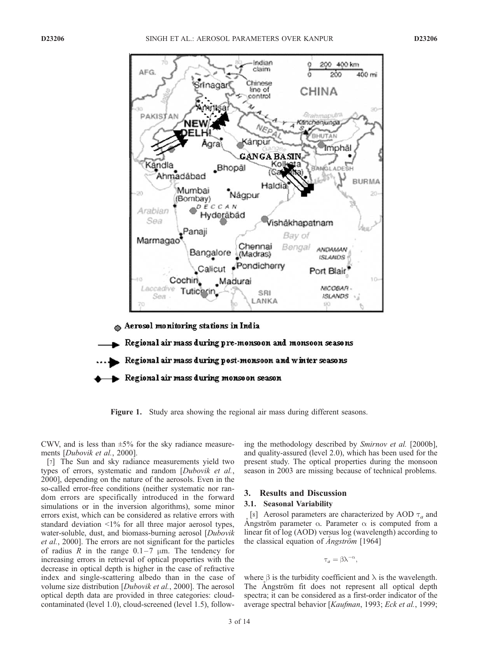

Regional air mass during post-monsoon and winter seasons

Regional air mass during monsoon season

Figure 1. Study area showing the regional air mass during different seasons.

CWV, and is less than  $\pm 5\%$  for the sky radiance measurements [Dubovik et al., 2000].

[7] The Sun and sky radiance measurements yield two types of errors, systematic and random [Dubovik et al., 2000], depending on the nature of the aerosols. Even in the so-called error-free conditions (neither systematic nor random errors are specifically introduced in the forward simulations or in the inversion algorithms), some minor errors exist, which can be considered as relative errors with standard deviation <1% for all three major aerosol types, water-soluble, dust, and biomass-burning aerosol [*Dubovik* et al., 2000]. The errors are not significant for the particles of radius R in the range  $0.1-7 \mu m$ . The tendency for increasing errors in retrieval of optical properties with the decrease in optical depth is higher in the case of refractive index and single-scattering albedo than in the case of volume size distribution [Dubovik et al., 2000]. The aerosol optical depth data are provided in three categories: cloudcontaminated (level 1.0), cloud-screened (level 1.5), following the methodology described by Smirnov et al. [2000b], and quality-assured (level 2.0), which has been used for the present study. The optical properties during the monsoon season in 2003 are missing because of technical problems.

#### 3. Results and Discussion

#### 3.1. Seasonal Variability

[8] Aerosol parameters are characterized by AOD  $\tau_a$  and Angström parameter  $\alpha$ . Parameter  $\alpha$  is computed from a linear fit of log (AOD) versus log (wavelength) according to the classical equation of *Angström* [1964]

$$
\tau_a = \beta \lambda^{-\alpha},
$$

where  $\beta$  is the turbidity coefficient and  $\lambda$  is the wavelength. The Angström fit does not represent all optical depth spectra; it can be considered as a first-order indicator of the average spectral behavior [Kaufman, 1993; Eck et al., 1999;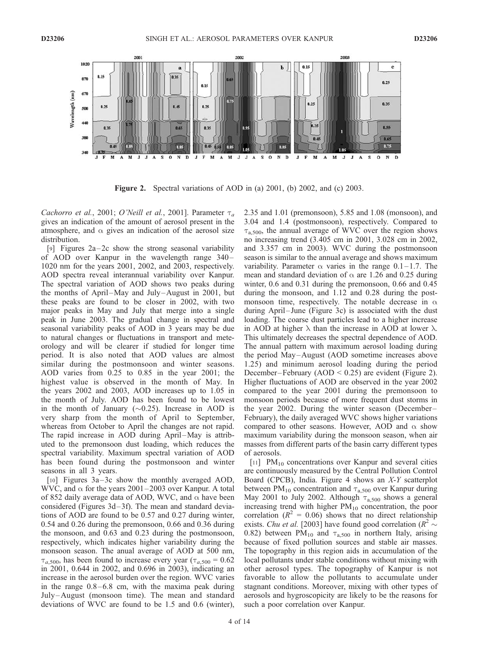

Figure 2. Spectral variations of AOD in (a) 2001, (b) 2002, and (c) 2003.

Cachorro et al., 2001; O'Neill et al., 2001]. Parameter  $\tau_a$ gives an indication of the amount of aerosol present in the atmosphere, and  $\alpha$  gives an indication of the aerosol size distribution.

[9] Figures  $2a-2c$  show the strong seasonal variability of AOD over Kanpur in the wavelength range 340-1020 nm for the years 2001, 2002, and 2003, respectively. AOD spectra reveal interannual variability over Kanpur. The spectral variation of AOD shows two peaks during the months of April–May and July–August in 2001, but these peaks are found to be closer in 2002, with two major peaks in May and July that merge into a single peak in June 2003. The gradual change in spectral and seasonal variability peaks of AOD in 3 years may be due to natural changes or fluctuations in transport and meteorology and will be clearer if studied for longer time period. It is also noted that AOD values are almost similar during the postmonsoon and winter seasons. AOD varies from 0.25 to 0.85 in the year 2001; the highest value is observed in the month of May. In the years 2002 and 2003, AOD increases up to 1.05 in the month of July. AOD has been found to be lowest in the month of January  $(\sim 0.25)$ . Increase in AOD is very sharp from the month of April to September, whereas from October to April the changes are not rapid. The rapid increase in AOD during April–May is attributed to the premonsoon dust loading, which reduces the spectral variability. Maximum spectral variation of AOD has been found during the postmonsoon and winter seasons in all 3 years.

[10] Figures 3a–3c show the monthly averaged AOD, WVC, and  $\alpha$  for the years 2001–2003 over Kanpur. A total of 852 daily average data of AOD, WVC, and  $\alpha$  have been considered (Figures 3d– 3f). The mean and standard deviations of AOD are found to be 0.57 and 0.27 during winter, 0.54 and 0.26 during the premonsoon, 0.66 and 0.36 during the monsoon, and 0.63 and 0.23 during the postmonsoon, respectively, which indicates higher variability during the monsoon season. The anual average of AOD at 500 nm,  $\tau_{a,500}$ , has been found to increase every year ( $\tau_{a,500} = 0.62$ ) in 2001, 0.644 in 2002, and 0.696 in 2003), indicating an increase in the aerosol burden over the region. WVC varies in the range  $0.8 - 6.8$  cm, with the maxima peak during July –August (monsoon time). The mean and standard deviations of WVC are found to be 1.5 and 0.6 (winter),

2.35 and 1.01 (premonsoon), 5.85 and 1.08 (monsoon), and 3.04 and 1.4 (postmonsoon), respectively. Compared to  $\tau_{a,500}$ , the annual average of WVC over the region shows no increasing trend (3.405 cm in 2001, 3.028 cm in 2002, and 3.357 cm in 2003). WVC during the postmonsoon season is similar to the annual average and shows maximum variability. Parameter  $\alpha$  varies in the range 0.1–1.7. The mean and standard deviation of  $\alpha$  are 1.26 and 0.25 during winter, 0.6 and 0.31 during the premonsoon, 0.66 and 0.45 during the monsoon, and 1.12 and 0.28 during the postmonsoon time, respectively. The notable decrease in  $\alpha$ during April–June (Figure 3c) is associated with the dust loading. The coarse dust particles lead to a higher increase in AOD at higher  $\lambda$  than the increase in AOD at lower  $\lambda$ . This ultimately decreases the spectral dependence of AOD. The annual pattern with maximum aerosol loading during the period May –August (AOD sometime increases above 1.25) and minimum aerosol loading during the period December-February (AOD <  $0.25$ ) are evident (Figure 2). Higher fluctuations of AOD are observed in the year 2002 compared to the year 2001 during the premonsoon to monsoon periods because of more frequent dust storms in the year 2002. During the winter season (December– February), the daily averaged WVC shows higher variations compared to other seasons. However, AOD and  $\alpha$  show maximum variability during the monsoon season, when air masses from different parts of the basin carry different types of aerosols.

[11]  $PM_{10}$  concentrations over Kanpur and several cities are continuously measured by the Central Pollution Control Board (CPCB), India. Figure 4 shows an X-Y scatterplot between  $PM_{10}$  concentration and  $\tau_{a,500}$  over Kanpur during May 2001 to July 2002. Although  $\tau_{a,500}$  shows a general increasing trend with higher  $PM_{10}$  concentration, the poor correlation ( $R^2 = 0.06$ ) shows that no direct relationship exists. *Chu et al.* [2003] have found good correlation ( $R^2 \sim$ 0.82) between PM<sub>10</sub> and  $\tau_{a,500}$  in northern Italy, arising because of fixed pollution sources and stable air masses. The topography in this region aids in accumulation of the local pollutants under stable conditions without mixing with other aerosol types. The topography of Kanpur is not favorable to allow the pollutants to accumulate under stagnant conditions. Moreover, mixing with other types of aerosols and hygroscopicity are likely to be the reasons for such a poor correlation over Kanpur.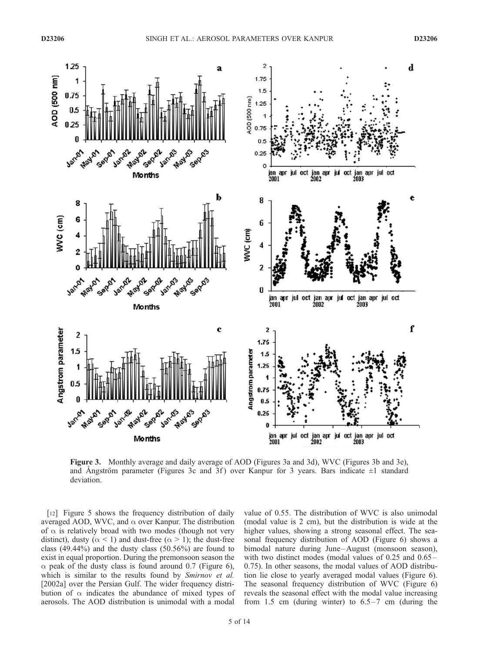

Figure 3. Monthly average and daily average of AOD (Figures 3a and 3d), WVC (Figures 3b and 3e), and Angström parameter (Figures 3c and 3f) over Kanpur for 3 years. Bars indicate  $\pm 1$  standard deviation.

[12] Figure 5 shows the frequency distribution of daily averaged AOD, WVC, and  $\alpha$  over Kanpur. The distribution of  $\alpha$  is relatively broad with two modes (though not very distinct), dusty ( $\alpha$  < 1) and dust-free ( $\alpha$  > 1); the dust-free class (49.44%) and the dusty class (50.56%) are found to exist in equal proportion. During the premonsoon season the  $\alpha$  peak of the dusty class is found around 0.7 (Figure 6), which is similar to the results found by *Smirnov et al.* [2002a] over the Persian Gulf. The wider frequency distribution of  $\alpha$  indicates the abundance of mixed types of aerosols. The AOD distribution is unimodal with a modal

value of 0.55. The distribution of WVC is also unimodal (modal value is 2 cm), but the distribution is wide at the higher values, showing a strong seasonal effect. The seasonal frequency distribution of AOD (Figure 6) shows a bimodal nature during June-August (monsoon season), with two distinct modes (modal values of 0.25 and 0.65– 0.75). In other seasons, the modal values of AOD distribution lie close to yearly averaged modal values (Figure 6). The seasonal frequency distribution of WVC (Figure 6) reveals the seasonal effect with the modal value increasing from 1.5 cm (during winter) to  $6.5-7$  cm (during the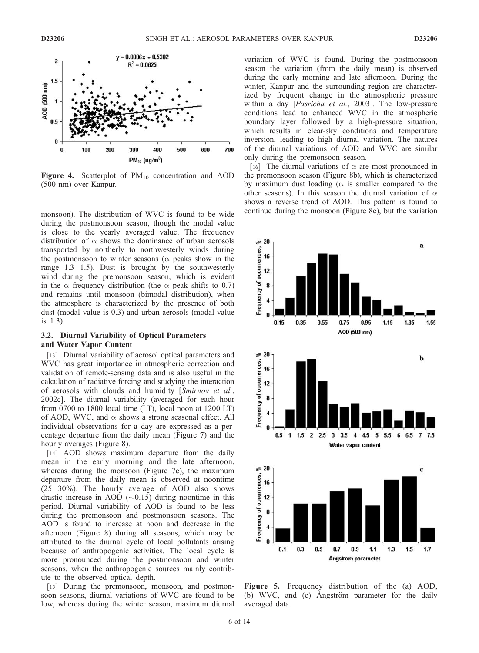

**Figure 4.** Scatterplot of  $PM_{10}$  concentration and AOD (500 nm) over Kanpur.

monsoon). The distribution of WVC is found to be wide during the postmonsoon season, though the modal value is close to the yearly averaged value. The frequency distribution of  $\alpha$  shows the dominance of urban aerosols transported by northerly to northwesterly winds during the postmonsoon to winter seasons ( $\alpha$  peaks show in the range  $1.3-1.5$ ). Dust is brought by the southwesterly wind during the premonsoon season, which is evident in the  $\alpha$  frequency distribution (the  $\alpha$  peak shifts to 0.7) and remains until monsoon (bimodal distribution), when the atmosphere is characterized by the presence of both dust (modal value is 0.3) and urban aerosols (modal value is 1.3).

### 3.2. Diurnal Variability of Optical Parameters and Water Vapor Content

[13] Diurnal variability of aerosol optical parameters and WVC has great importance in atmospheric correction and validation of remote-sensing data and is also useful in the calculation of radiative forcing and studying the interaction of aerosols with clouds and humidity [Smirnov et al., 2002c]. The diurnal variability (averaged for each hour from 0700 to 1800 local time (LT), local noon at 1200 LT) of AOD, WVC, and  $\alpha$  shows a strong seasonal effect. All individual observations for a day are expressed as a percentage departure from the daily mean (Figure 7) and the hourly averages (Figure 8).

[14] AOD shows maximum departure from the daily mean in the early morning and the late afternoon, whereas during the monsoon (Figure 7c), the maximum departure from the daily mean is observed at noontime  $(25-30\%)$ . The hourly average of AOD also shows drastic increase in AOD  $(\sim 0.15)$  during noontime in this period. Diurnal variability of AOD is found to be less during the premonsoon and postmonsoon seasons. The AOD is found to increase at noon and decrease in the afternoon (Figure 8) during all seasons, which may be attributed to the diurnal cycle of local pollutants arising because of anthropogenic activities. The local cycle is more pronounced during the postmonsoon and winter seasons, when the anthropogenic sources mainly contribute to the observed optical depth.

[15] During the premonsoon, monsoon, and postmonsoon seasons, diurnal variations of WVC are found to be low, whereas during the winter season, maximum diurnal

variation of WVC is found. During the postmonsoon season the variation (from the daily mean) is observed during the early morning and late afternoon. During the winter, Kanpur and the surrounding region are characterized by frequent change in the atmospheric pressure within a day [Pasricha et al., 2003]. The low-pressure conditions lead to enhanced WVC in the atmospheric boundary layer followed by a high-pressure situation, which results in clear-sky conditions and temperature inversion, leading to high diurnal variation. The natures of the diurnal variations of AOD and WVC are similar only during the premonsoon season.

[16] The diurnal variations of  $\alpha$  are most pronounced in the premonsoon season (Figure 8b), which is characterized by maximum dust loading ( $\alpha$  is smaller compared to the other seasons). In this season the diurnal variation of  $\alpha$ shows a reverse trend of AOD. This pattern is found to continue during the monsoon (Figure 8c), but the variation



Figure 5. Frequency distribution of the (a) AOD, (b) WVC, and (c) Angström parameter for the daily averaged data.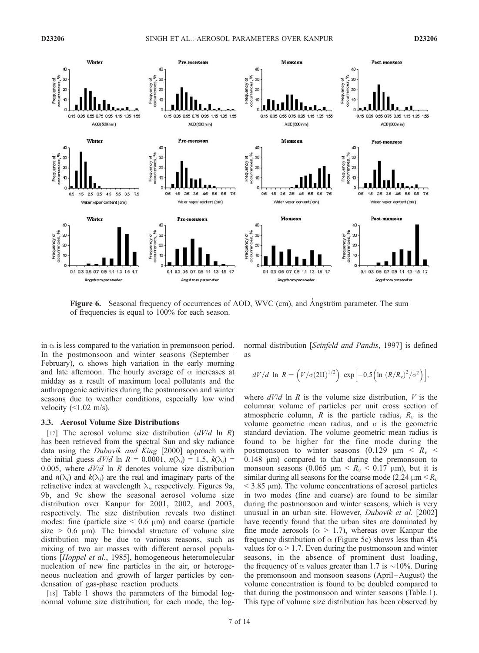

Figure 6. Seasonal frequency of occurrences of AOD, WVC (cm), and Angström parameter. The sum of frequencies is equal to 100% for each season.

in  $\alpha$  is less compared to the variation in premonsoon period. In the postmonsoon and winter seasons (September– February),  $\alpha$  shows high variation in the early morning and late afternoon. The hourly average of  $\alpha$  increases at midday as a result of maximum local pollutants and the anthropogenic activities during the postmonsoon and winter seasons due to weather conditions, especially low wind velocity  $(\leq 1.02 \text{ m/s})$ .

#### 3.3. Aerosol Volume Size Distributions

[17] The aerosol volume size distribution  $(dV/d \ln R)$ has been retrieved from the spectral Sun and sky radiance data using the Dubovik and King [2000] approach with the initial guess  $dV/d \ln R = 0.0001$ ,  $n(\lambda_i) = 1.5$ ,  $k(\lambda_i) =$ 0.005, where  $dV/d$  ln R denotes volume size distribution and  $n(\lambda_i)$  and  $k(\lambda_i)$  are the real and imaginary parts of the refractive index at wavelength  $\lambda_i$ , respectively. Figures 9a, 9b, and 9c show the seasonal aerosol volume size distribution over Kanpur for 2001, 2002, and 2003, respectively. The size distribution reveals two distinct modes: fine (particle size  $\leq$  0.6  $\mu$ m) and coarse (particle size  $> 0.6$  µm). The bimodal structure of volume size distribution may be due to various reasons, such as mixing of two air masses with different aerosol populations [Hoppel et al., 1985], homogeneous heteromolecular nucleation of new fine particles in the air, or heterogeneous nucleation and growth of larger particles by condensation of gas-phase reaction products.

[18] Table 1 shows the parameters of the bimodal lognormal volume size distribution; for each mode, the lognormal distribution [Seinfeld and Pandis, 1997] is defined as

$$
dV/d \ln R = \left(V/\sigma(2\Pi)^{1/2}\right) \exp\left[-0.5\left(\ln (R/R_v)^2/\sigma^2\right)\right],
$$

where  $dV/d$  ln R is the volume size distribution, V is the columnar volume of particles per unit cross section of atmospheric column, R is the particle radius,  $R_v$  is the volume geometric mean radius, and  $\sigma$  is the geometric standard deviation. The volume geometric mean radius is found to be higher for the fine mode during the postmonsoon to winter seasons  $(0.129 \mu m < R<sub>v</sub>$  $0.148$   $\mu$ m) compared to that during the premonsoon to monsoon seasons (0.065  $\mu$ m <  $R_v$  < 0.17  $\mu$ m), but it is similar during all seasons for the coarse mode (2.24  $\mu$ m <  $R_v$ )  $<$  3.85  $\mu$ m). The volume concentrations of aerosol particles in two modes (fine and coarse) are found to be similar during the postmonsoon and winter seasons, which is very unusual in an urban site. However, Dubovik et al. [2002] have recently found that the urban sites are dominated by fine mode aerosols ( $\alpha$  > 1.7), whereas over Kanpur the frequency distribution of  $\alpha$  (Figure 5c) shows less than 4% values for  $\alpha$  > 1.7. Even during the postmonsoon and winter seasons, in the absence of prominent dust loading, the frequency of  $\alpha$  values greater than 1.7 is  $\sim$ 10%. During the premonsoon and monsoon seasons (April –August) the volume concentration is found to be doubled compared to that during the postmonsoon and winter seasons (Table 1). This type of volume size distribution has been observed by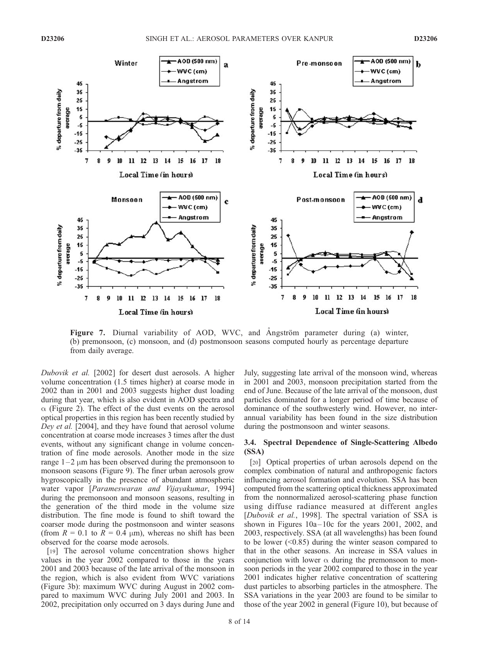

Figure 7. Diurnal variability of AOD, WVC, and Angström parameter during (a) winter, (b) premonsoon, (c) monsoon, and (d) postmonsoon seasons computed hourly as percentage departure from daily average.

Dubovik et al. [2002] for desert dust aerosols. A higher volume concentration (1.5 times higher) at coarse mode in 2002 than in 2001 and 2003 suggests higher dust loading during that year, which is also evident in AOD spectra and  $\alpha$  (Figure 2). The effect of the dust events on the aerosol optical properties in this region has been recently studied by Dey et al. [2004], and they have found that aerosol volume concentration at coarse mode increases 3 times after the dust events, without any significant change in volume concentration of fine mode aerosols. Another mode in the size range  $1-2 \mu m$  has been observed during the premonsoon to monsoon seasons (Figure 9). The finer urban aerosols grow hygroscopically in the presence of abundant atmospheric water vapor [Parameswaran and Vijayakumar, 1994] during the premonsoon and monsoon seasons, resulting in the generation of the third mode in the volume size distribution. The fine mode is found to shift toward the coarser mode during the postmonsoon and winter seasons (from  $R = 0.1$  to  $R = 0.4$  µm), whereas no shift has been observed for the coarse mode aerosols.

[19] The aerosol volume concentration shows higher values in the year 2002 compared to those in the years 2001 and 2003 because of the late arrival of the monsoon in the region, which is also evident from WVC variations (Figure 3b): maximum WVC during August in 2002 compared to maximum WVC during July 2001 and 2003. In 2002, precipitation only occurred on 3 days during June and

July, suggesting late arrival of the monsoon wind, whereas in 2001 and 2003, monsoon precipitation started from the end of June. Because of the late arrival of the monsoon, dust particles dominated for a longer period of time because of dominance of the southwesterly wind. However, no interannual variability has been found in the size distribution during the postmonsoon and winter seasons.

### 3.4. Spectral Dependence of Single-Scattering Albedo (SSA)

[20] Optical properties of urban aerosols depend on the complex combination of natural and anthropogenic factors influencing aerosol formation and evolution. SSA has been computed from the scattering optical thickness approximated from the nonnormalized aerosol-scattering phase function using diffuse radiance measured at different angles [Dubovik et al., 1998]. The spectral variation of SSA is shown in Figures  $10a-10c$  for the years  $2001$ ,  $2002$ , and 2003, respectively. SSA (at all wavelengths) has been found to be lower (<0.85) during the winter season compared to that in the other seasons. An increase in SSA values in conjunction with lower  $\alpha$  during the premonsoon to monsoon periods in the year 2002 compared to those in the year 2001 indicates higher relative concentration of scattering dust particles to absorbing particles in the atmosphere. The SSA variations in the year 2003 are found to be similar to those of the year 2002 in general (Figure 10), but because of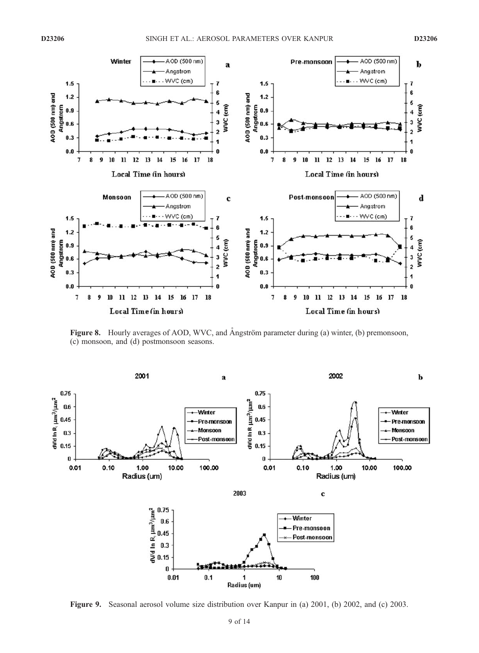

Figure 8. Hourly averages of AOD, WVC, and Angström parameter during (a) winter, (b) premonsoon, (c) monsoon, and (d) postmonsoon seasons.



Figure 9. Seasonal aerosol volume size distribution over Kanpur in (a) 2001, (b) 2002, and (c) 2003.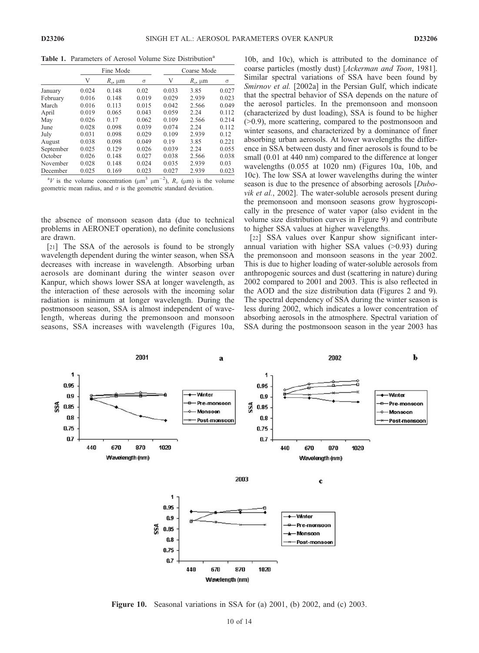Table 1. Parameters of Aerosol Volume Size Distribution<sup>a</sup>

|           | Fine Mode |                     |          | Coarse Mode |                     |       |
|-----------|-----------|---------------------|----------|-------------|---------------------|-------|
|           | V         | $R_{\nu}$ , $\mu$ m | $\sigma$ | V           | $R_{\nu}$ , $\mu$ m | σ     |
| January   | 0.024     | 0.148               | 0.02     | 0.033       | 3.85                | 0.027 |
| February  | 0.016     | 0.148               | 0.019    | 0.029       | 2.939               | 0.023 |
| March     | 0.016     | 0.113               | 0.015    | 0.042       | 2.566               | 0.049 |
| April     | 0.019     | 0.065               | 0.043    | 0.059       | 2.24                | 0.112 |
| May       | 0.026     | 0.17                | 0.062    | 0.109       | 2.566               | 0.214 |
| June      | 0.028     | 0.098               | 0.039    | 0.074       | 2.24                | 0.112 |
| July      | 0.031     | 0.098               | 0.029    | 0.109       | 2.939               | 0.12  |
| August    | 0.038     | 0.098               | 0.049    | 0.19        | 3.85                | 0.221 |
| September | 0.025     | 0.129               | 0.026    | 0.039       | 2.24                | 0.055 |
| October   | 0.026     | 0.148               | 0.027    | 0.038       | 2.566               | 0.038 |
| November  | 0.028     | 0.148               | 0.024    | 0.035       | 2.939               | 0.03  |
| December  | 0.025     | 0.169               | 0.023    | 0.027       | 2.939               | 0.023 |

<sup>&</sup>lt;sup>a</sup>V is the volume concentration ( $\mu$ m<sup>3</sup>  $\mu$ m<sup>-2</sup>),  $R_v$  ( $\mu$ m) is the volume geometric mean radius, and  $\sigma$  is the geometric standard deviation.

the absence of monsoon season data (due to technical problems in AERONET operation), no definite conclusions are drawn.

[21] The SSA of the aerosols is found to be strongly wavelength dependent during the winter season, when SSA decreases with increase in wavelength. Absorbing urban aerosols are dominant during the winter season over Kanpur, which shows lower SSA at longer wavelength, as the interaction of these aerosols with the incoming solar radiation is minimum at longer wavelength. During the postmonsoon season, SSA is almost independent of wavelength, whereas during the premonsoon and monsoon seasons, SSA increases with wavelength (Figures 10a, 10b, and 10c), which is attributed to the dominance of coarse particles (mostly dust) [Ackerman and Toon, 1981]. Similar spectral variations of SSA have been found by Smirnov et al. [2002a] in the Persian Gulf, which indicate that the spectral behavior of SSA depends on the nature of the aerosol particles. In the premonsoon and monsoon (characterized by dust loading), SSA is found to be higher (>0.9), more scattering, compared to the postmonsoon and winter seasons, and characterized by a dominance of finer absorbing urban aerosols. At lower wavelengths the difference in SSA between dusty and finer aerosols is found to be small (0.01 at 440 nm) compared to the difference at longer wavelengths (0.055 at 1020 nm) (Figures 10a, 10b, and 10c). The low SSA at lower wavelengths during the winter season is due to the presence of absorbing aerosols [*Dubo*vik et al., 2002]. The water-soluble aerosols present during the premonsoon and monsoon seasons grow hygroscopically in the presence of water vapor (also evident in the volume size distribution curves in Figure 9) and contribute to higher SSA values at higher wavelengths.

[22] SSA values over Kanpur show significant interannual variation with higher SSA values (>0.93) during the premonsoon and monsoon seasons in the year 2002. This is due to higher loading of water-soluble aerosols from anthropogenic sources and dust (scattering in nature) during 2002 compared to 2001 and 2003. This is also reflected in the AOD and the size distribution data (Figures 2 and 9). The spectral dependency of SSA during the winter season is less during 2002, which indicates a lower concentration of absorbing aerosols in the atmosphere. Spectral variation of SSA during the postmonsoon season in the year 2003 has



Figure 10. Seasonal variations in SSA for (a) 2001, (b) 2002, and (c) 2003.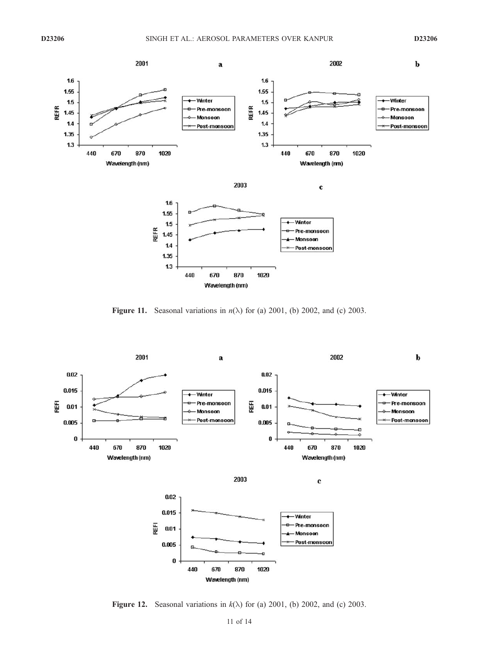

Figure 11. Seasonal variations in  $n(\lambda)$  for (a) 2001, (b) 2002, and (c) 2003.



Figure 12. Seasonal variations in  $k(\lambda)$  for (a) 2001, (b) 2002, and (c) 2003.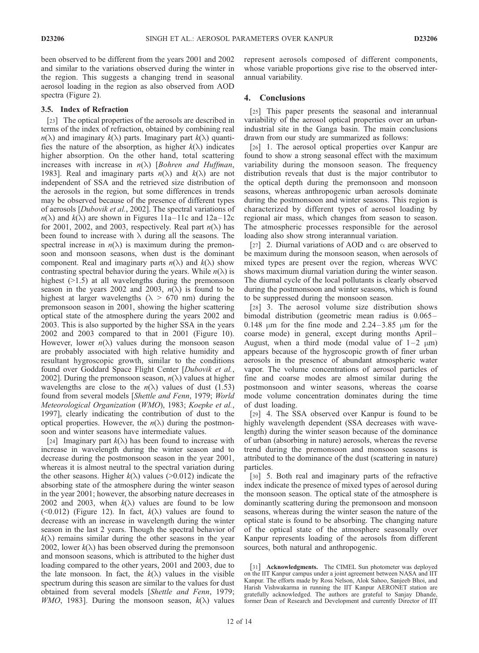been observed to be different from the years 2001 and 2002 and similar to the variations observed during the winter in the region. This suggests a changing trend in seasonal aerosol loading in the region as also observed from AOD spectra (Figure 2).

## 3.5. Index of Refraction

[23] The optical properties of the aerosols are described in terms of the index of refraction, obtained by combining real  $n(\lambda)$  and imaginary  $k(\lambda)$  parts. Imaginary part  $k(\lambda)$  quantifies the nature of the absorption, as higher  $k(\lambda)$  indicates higher absorption. On the other hand, total scattering increases with increase in  $n(\lambda)$  [Bohren and Huffman, 1983]. Real and imaginary parts  $n(\lambda)$  and  $k(\lambda)$  are not independent of SSA and the retrieved size distribution of the aerosols in the region, but some differences in trends may be observed because of the presence of different types of aerosols [Dubovik et al., 2002]. The spectral variations of  $n(\lambda)$  and  $k(\lambda)$  are shown in Figures 11a–11c and 12a–12c for 2001, 2002, and 2003, respectively. Real part  $n(\lambda)$  has been found to increase with  $\lambda$  during all the seasons. The spectral increase in  $n(\lambda)$  is maximum during the premonsoon and monsoon seasons, when dust is the dominant component. Real and imaginary parts  $n(\lambda)$  and  $k(\lambda)$  show contrasting spectral behavior during the years. While  $n(\lambda)$  is highest ( $>1.5$ ) at all wavelengths during the premonsoon season in the years 2002 and 2003,  $n(\lambda)$  is found to be highest at larger wavelengths ( $\lambda > 670$  nm) during the premonsoon season in 2001, showing the higher scattering optical state of the atmosphere during the years 2002 and 2003. This is also supported by the higher SSA in the years 2002 and 2003 compared to that in 2001 (Figure 10). However, lower  $n(\lambda)$  values during the monsoon season are probably associated with high relative humidity and resultant hygroscopic growth, similar to the conditions found over Goddard Space Flight Center [Dubovik et al., 2002]. During the premonsoon season,  $n(\lambda)$  values at higher wavelengths are close to the  $n(\lambda)$  values of dust (1.53) found from several models [Shettle and Fenn, 1979; World Meteorological Organization (WMO), 1983; Koepke et al., 1997], clearly indicating the contribution of dust to the optical properties. However, the  $n(\lambda)$  during the postmonsoon and winter seasons have intermediate values.

[24] Imaginary part  $k(\lambda)$  has been found to increase with increase in wavelength during the winter season and to decrease during the postmonsoon season in the year 2001, whereas it is almost neutral to the spectral variation during the other seasons. Higher  $k(\lambda)$  values (>0.012) indicate the absorbing state of the atmosphere during the winter season in the year 2001; however, the absorbing nature decreases in 2002 and 2003, when  $k(\lambda)$  values are found to be low (<0.012) (Figure 12). In fact,  $k(\lambda)$  values are found to decrease with an increase in wavelength during the winter season in the last 2 years. Though the spectral behavior of  $k(\lambda)$  remains similar during the other seasons in the year 2002, lower  $k(\lambda)$  has been observed during the premonsoon and monsoon seasons, which is attributed to the higher dust loading compared to the other years, 2001 and 2003, due to the late monsoon. In fact, the  $k(\lambda)$  values in the visible spectrum during this season are similar to the values for dust obtained from several models [Shettle and Fenn, 1979; *WMO*, 1983]. During the monsoon season,  $k(\lambda)$  values

represent aerosols composed of different components, whose variable proportions give rise to the observed interannual variability.

## 4. Conclusions

[25] This paper presents the seasonal and interannual variability of the aerosol optical properties over an urbanindustrial site in the Ganga basin. The main conclusions drawn from our study are summarized as follows:

[26] 1. The aerosol optical properties over Kanpur are found to show a strong seasonal effect with the maximum variability during the monsoon season. The frequency distribution reveals that dust is the major contributor to the optical depth during the premonsoon and monsoon seasons, whereas anthropogenic urban aerosols dominate during the postmonsoon and winter seasons. This region is characterized by different types of aerosol loading by regional air mass, which changes from season to season. The atmospheric processes responsible for the aerosol loading also show strong interannual variation.

[27] 2. Diurnal variations of AOD and  $\alpha$  are observed to be maximum during the monsoon season, when aerosols of mixed types are present over the region, whereas WVC shows maximum diurnal variation during the winter season. The diurnal cycle of the local pollutants is clearly observed during the postmonsoon and winter seasons, which is found to be suppressed during the monsoon season.

[28] 3. The aerosol volume size distribution shows bimodal distribution (geometric mean radius is  $0.065-$ 0.148  $\mu$ m for the fine mode and 2.24–3.85  $\mu$ m for the coarse mode) in general, except during months April-August, when a third mode (modal value of  $1-2 \mu m$ ) appears because of the hygroscopic growth of finer urban aerosols in the presence of abundant atmospheric water vapor. The volume concentrations of aerosol particles of fine and coarse modes are almost similar during the postmonsoon and winter seasons, whereas the coarse mode volume concentration dominates during the time of dust loading.

[29] 4. The SSA observed over Kanpur is found to be highly wavelength dependent (SSA decreases with wavelength) during the winter season because of the dominance of urban (absorbing in nature) aerosols, whereas the reverse trend during the premonsoon and monsoon seasons is attributed to the dominance of the dust (scattering in nature) particles.

[30] 5. Both real and imaginary parts of the refractive index indicate the presence of mixed types of aerosol during the monsoon season. The optical state of the atmosphere is dominantly scattering during the premonsoon and monsoon seasons, whereas during the winter season the nature of the optical state is found to be absorbing. The changing nature of the optical state of the atmosphere seasonally over Kanpur represents loading of the aerosols from different sources, both natural and anthropogenic.

<sup>[31]</sup> Acknowledgments. The CIMEL Sun photometer was deployed on the IIT Kanpur campus under a joint agreement between NASA and IIT Kanpur. The efforts made by Ross Nelson, Alok Sahoo, Sanjeeb Bhoi, and Harish Vishwakarma in running the IIT Kanpur AERONET station are gratefully acknowledged. The authors are grateful to Sanjay Dhande, former Dean of Research and Development and currently Director of IIT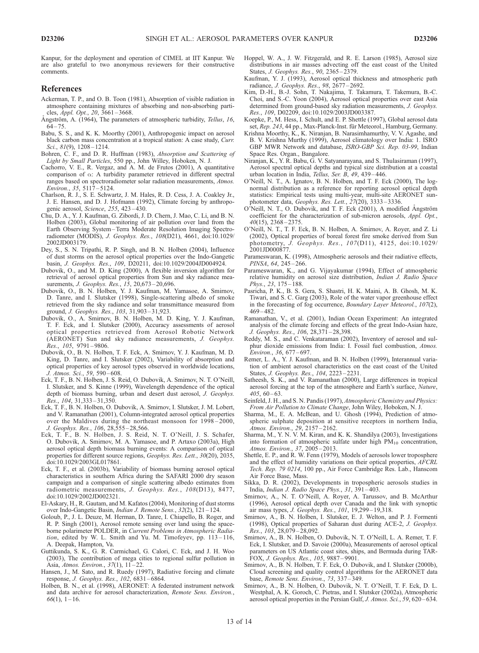Kanpur, for the deployment and operation of CIMEL at IIT Kanpur. We are also grateful to two anonymous reviewers for their constructive comments.

#### References

- Ackerman, T. P., and O. B. Toon (1981), Absorption of visible radiation in atmosphere containing mixtures of absorbing and non-absorbing particles, Appl. Opt., 20, 3661 – 3668.
- Ångström, A. (1964), The parameters of atmospheric turbidity, Tellus, 16,  $64 - 75.$
- Babu, S. S., and K. K. Moorthy (2001), Anthropogenic impact on aerosol black carbon mass concentration at a tropical station: A case study, Curr. Sci., 81(9), 1208-1214.
- Bohren, C. F., and D. R. Huffman (1983), Absorption and Scattering of Light by Small Particles, 550 pp., John Willey, Hoboken, N. J.
- Cachorro, V. E., R. Vergaz, and A. M. de Frutos (2001), A quantitative comparison of  $\alpha$ : A turbidity parameter retrieved in different spectral ranges based on spectroradiometer solar radiation measurements, Atmos. Environ., 35, 5117 – 5124.
- Charlson, R. J., S. E. Schwartz, J. M. Hales, R. D. Cess, J. A. Coakley Jr., J. E. Hansen, and D. J. Hofmann (1992), Climate forcing by anthropogenic aerosol, Science, 255, 423 – 430.
- Chu, D. A., Y. J. Kaufman, G. Zibordi, J. D. Chern, J. Mao, C. Li, and B. N. Holben (2003), Global monitoring of air pollution over land from the Earth Observing System –Terra Moderate Resolution Imaging Spectroradiometer (MODIS), J. Geophys. Res., 108(D21), 4661, doi:10.1029/ 2002JD003179.
- Dey, S., S. N. Tripathi, R. P. Singh, and B. N. Holben (2004), Influence of dust storms on the aerosol optical properties over the Indo-Gangetic basin, J. Geophys. Res., 109, D20211, doi:10.1029/2004JD004924.
- Dubovik, O., and M. D. King (2000), A flexible inversion algorithm for retrieval of aerosol optical properties from Sun and sky radiance measurements, *J. Geophys. Res.*, 15, 20,673-20,696.
- Dubovik, O., B. N. Holben, Y. J. Kaufman, M. Yamasoe, A. Smirnov, D. Tanre, and I. Slutsker (1998), Single-scattering albedo of smoke retrieved from the sky radiance and solar transmittance measured from ground, J. Geophys. Res., 103, 31,903 – 31,923.
- Dubovik, O., A. Smirnov, B. N. Holben, M. D. King, Y. J. Kaufman, T. F. Eck, and I. Slutsker (2000), Accuracy assessments of aerosol optical properties retrieved from Aerosol Robotic Network (AERONET) Sun and sky radiance measurements, J. Geophys. Res., 105, 9791-9806.
- Dubovik, O., B. N. Holben, T. F. Eck, A. Smirnov, Y. J. Kaufman, M. D. King, D. Tanre, and I. Slutsker (2002), Variability of absorption and optical properties of key aerosol types observed in worldwide locations, J. Atmos. Sci., 59, 590 – 608.
- Eck, T. F., B. N. Holben, J. S. Reid, O. Dubovik, A. Smirnov, N. T. O'Neill, I. Slutsker, and S. Kinne (1999), Wavelength dependence of the optical depth of biomass burning, urban and desert dust aerosol, J. Geophys. Res., 104, 31,333 – 31,350.
- Eck, T. F., B. N. Holben, O. Dubovik, A. Smirnov, I. Slutsker, J. M. Lobert, and V. Ramanathan (2001), Column-integrated aerosol optical properties over the Maldives during the northeast monsoon for 1998 – 2000, J. Geophys. Res., 106, 28,555 – 28,566.
- Eck, T. F., B. N. Holben, J. S. Reid, N. T. O'Neill, J. S. Schafer, O. Dubovik, A. Smirnov, M. A. Yamasoe, and P. Artaxo (2003a), High aerosol optical depth biomass burning events: A comparison of optical properties for different source regions, Geophys. Res. Lett., 30(20), 2035, doi:10.1029/2003GL017861.
- Eck, T. F., et al. (2003b), Variability of biomass burning aerosol optical characteristics in southern Africa during the SAFARI 2000 dry season campaign and a comparison of single scattering albedo estimates from radiometric measurements, J. Geophys. Res., 108(D13), 8477, doi:10.1029/2002JD002321.
- El-Askary, H., R. Gautam, and M. Kafatos (2004), Monitoring of dust storms over Indo-Gangetic Basin, Indian J. Remote Sens., 32(2), 121 – 124.
- Goloub, P., J. L. Deuze, M. Herman, D. Tanre, I. Chiapello, B. Roger, and R. P. Singh (2001), Aerosol remote sensing over land using the spaceborne polarimeter POLDER, in Current Problems in Atmospheric Radiation, edited by W. L. Smith and Yu. M. Timofeyev, pp.  $113 - 116$ , A. Deepak, Hampton, Va.
- Guttikunda, S. K., G. R. Carmichael, G. Calori, C. Eck, and J. H. Woo (2003), The contribution of mega cities to regional sulfur pollution in Asia, Atmos. Environ., 37(1), 11-22.
- Hansen, J., M. Sato, and R. Ruedy (1997), Radiative forcing and climate response, J. Geophys. Res., 102, 6831-6864.
- Holben, B. N., et al. (1998), AERONET: A federated instrument network and data archive for aerosol characterization, Remote Sens. Environ.,  $66(1), 1 - 16.$
- Hoppel, W. A., J. W. Fitzgerald, and R. E. Larson (1985), Aerosol size distributions in air masses advecting off the east coast of the United States, *J. Geophys. Res.*, 90, 2365-2379.
- Kaufman, Y. J. (1993), Aerosol optical thickness and atmospheric path radiance, J. Geophys. Res., 98, 2677 – 2692.
- Kim, D.-H., B.-J. Sohn, T. Nakajima, T. Takamura, T. Takemura, B.-C. Choi, and S.-C. Yoon (2004), Aerosol optical properties over east Asia determined from ground-based sky radiation measurements, J. Geophys. Res., 109, D02209, doi:10.1029/2003JD003387.
- Koepke, P., M. Hess, I. Schult, and E. P. Shettle (1997), Global aerosol data set, Rep. 243, 44 pp., Max-Planck-Inst. für Meteorol., Hamburg, Germany.
- Krishna Moorthy, K., K. Niranjan, B. Narasimhamurthy, V. V. Agashe, and B. V. Krishna Murthy (1999), Aerosol climatology over India: 1. ISRO GBP MWR Network and database, ISRO-GBP Sci. Rep. 03-99, Indian Space Res. Organ., Bangalore.
- Niranjan, K., Y. R. Babu, G. V. Satyanarayana, and S. Thulasiraman (1997), Aerosol spectral optical depths and typical size distribution at a coastal urban location in India, Tellus, Ser. B, 49, 439 – 446.
- O'Neill, N. T., A. Ignatov, B. N. Holben, and T. F. Eck (2000), The lognormal distribution as a reference for reporting aerosol optical depth statistics: Empirical tests using multi-year, multi-site AERONET sunphotometer data, Geophys. Res. Lett., 27(20), 3333 – 3336.
- O'Neill, N. T., O. Dubovik, and T. F. Eck (2001), A modified Angström coefficient for the characterization of sub-micron aerosols, Appl. Opt., 40(15), 2368 – 2375.
- O'Neill, N. T., T. F. Eck, B. N. Holben, A. Smirnov, A. Royer, and Z. Li (2002), Optical properties of boreal forest fire smoke derived from Sun photometry, J. Geophys. Res., 107(D11), 4125, doi:10.1029/ 2001JD000877.
- Parameswaran, K. (1998), Atmospheric aerosols and their radiative effects, PINSA, 64, 245-266.
- Parameswaran, K., and G. Vijayakumar (1994), Effect of atmospheric relative humidity on aerosol size distribution, Indian J. Radio Space Phys., 23, 175-188.
- Pasricha, P. K., B. S. Gera, S. Shastri, H. K. Maini, A. B. Ghosh, M. K. Tiwari, and S. C. Garg (2003), Role of the water vapor greenhouse effect in the forecasting of fog occurrence, Boundary Layer Meteorol., 107(2),  $469 - 482$
- Ramanathan, V., et al. (2001), Indian Ocean Experiment: An integrated analysis of the climate forcing and effects of the great Indo-Asian haze, J. Geophys. Res., 106, 28,371 – 28,398.
- Reddy, M. S., and C. Venkataraman (2002), Inventory of aerosol and sulphur dioxide emissions from India: I. Fossil fuel combustion, Atmos. Environ., 36, 677 – 697.
- Remer, L. A., Y. J. Kaufman, and B. N. Holben (1999), Interannual variation of ambient aerosol characteristics on the east coast of the United States, J. Geophys. Res., 104, 2223 – 2231.
- Satheesh, S. K., and V. Ramanathan (2000), Large differences in tropical aerosol forcing at the top of the atmosphere and Earth's surface, Nature,  $405, 60 - 63.$
- Seinfeld, J. H., and S. N. Pandis (1997), Atmospheric Chemistry and Physics: From Air Pollution to Climate Change, John Wiley, Hoboken, N. J.
- Sharma, M., E. A. McBean, and U. Ghosh (1994), Prediction of atmospheric sulphate deposition at sensitive receptors in northern India, Atmos. Environ., 29, 2157-2162.
- Sharma, M., Y. N. V. M. Kiran, and K. K. Shandilya (2003), Investigations into formation of atmospheric sulfate under high  $PM_{10}$  concentration, Atmos. Environ., 37, 2005-2013.
- Shettle, E. P., and R. W. Fenn (1979), Models of aerosols lower troposphere and the effect of humidity variations on their optical properties, AFCRL Tech. Rep. 79 0214, 100 pp., Air Force Cambridge Res. Lab., Hanscom Air Force Base, Mass.
- Sikka, D. R. (2002), Developments in tropospheric aerosols studies in India, Indian J. Radio Space Phys., 31, 391 – 403.
- Smirnov, A., N. T. O'Neill, A. Royer, A. Tarussov, and B. McArthur (1996), Aerosol optical depth over Canada and the link with synoptic air mass types, J. Geophys. Res., 101, 19,299 – 19,318.
- Smirnov, A., B. N. Holben, I. Slutsker, E. J. Welton, and P. J. Formenti (1998), Optical properties of Saharan dust during ACE-2, J. Geophys. Res., 103, 28,079 – 28,092.
- Smirnov, A., B. N. Holben, O. Dubovik, N. T. O'Neill, L. A. Remer, T. F. Eck, I. Slutsker, and D. Savoie (2000a), Measurements of aerosol optical parameters on US Atlantic coast sites, ships, and Bermuda during TAR-FOX, J. Geophys. Res., 105, 9887 – 9901.
- Smirnov, A., B. N. Holben, T. F. Eck, O. Dubovik, and I. Slutsker (2000b), Cloud screening and quality control algorithms for the AERONET data base, Remote Sens. Environ., 73, 337 – 349.
- Smirnov, A., B. N. Holben, O. Dubovik, N. T. O'Neill, T. F. Eck, D. L. Westphal, A. K. Goroch, C. Pietras, and I. Slutsker (2002a), Atmospheric aerosol optical properties in the Persian Gulf, J. Atmos. Sci., 59, 620 – 634.